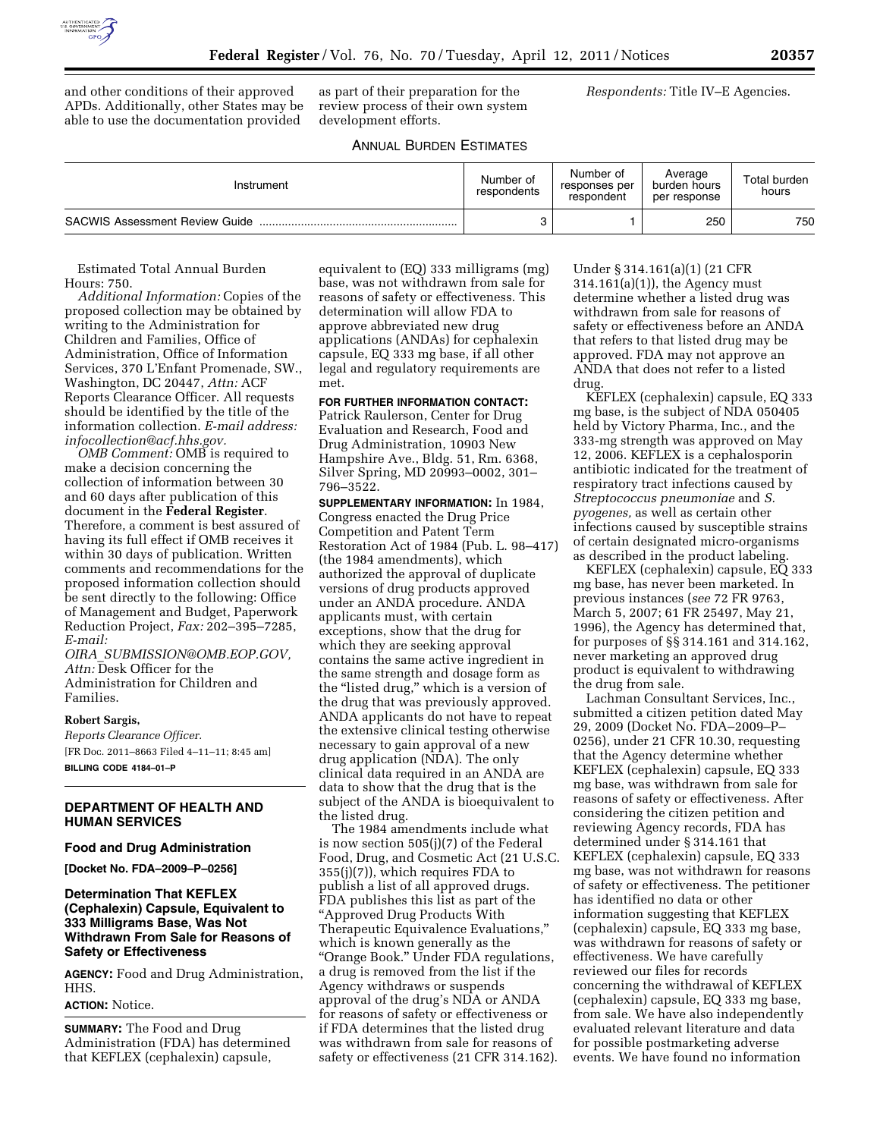

and other conditions of their approved APDs. Additionally, other States may be able to use the documentation provided

as part of their preparation for the review process of their own system development efforts.

*Respondents:* Title IV–E Agencies.

## ANNUAL BURDEN ESTIMATES

| Instrument                            | Number of<br>respondents | Number of<br>responses per<br>respondent | Average<br>burden hours<br>per response | Total burden<br>hours |
|---------------------------------------|--------------------------|------------------------------------------|-----------------------------------------|-----------------------|
| <b>SACWIS Assessment Review Guide</b> |                          |                                          | 250                                     | 750                   |

Estimated Total Annual Burden Hours: 750.

*Additional Information:* Copies of the proposed collection may be obtained by writing to the Administration for Children and Families, Office of Administration, Office of Information Services, 370 L'Enfant Promenade, SW., Washington, DC 20447, *Attn:* ACF Reports Clearance Officer. All requests should be identified by the title of the information collection. *E-mail address: [infocollection@acf.hhs.gov.](mailto:infocollection@acf.hhs.gov)* 

*OMB Comment:* OMB is required to make a decision concerning the collection of information between 30 and 60 days after publication of this document in the **Federal Register**. Therefore, a comment is best assured of having its full effect if OMB receives it within 30 days of publication. Written comments and recommendations for the proposed information collection should be sent directly to the following: Office of Management and Budget, Paperwork Reduction Project, *Fax:* 202–395–7285, *E-mail:* 

*OIRA*\_*[SUBMISSION@OMB.EOP.GOV,](mailto:OIRA_SUBMISSION@OMB.EOP.GOV)  Attn:* Desk Officer for the Administration for Children and Families.

#### **Robert Sargis,**

*Reports Clearance Officer.*  [FR Doc. 2011–8663 Filed 4–11–11; 8:45 am] **BILLING CODE 4184–01–P** 

# **DEPARTMENT OF HEALTH AND HUMAN SERVICES**

## **Food and Drug Administration**

**[Docket No. FDA–2009–P–0256]** 

### **Determination That KEFLEX (Cephalexin) Capsule, Equivalent to 333 Milligrams Base, Was Not Withdrawn From Sale for Reasons of Safety or Effectiveness**

**AGENCY:** Food and Drug Administration, HHS.

#### **ACTION:** Notice.

**SUMMARY:** The Food and Drug Administration (FDA) has determined that KEFLEX (cephalexin) capsule,

equivalent to (EQ) 333 milligrams (mg) base, was not withdrawn from sale for reasons of safety or effectiveness. This determination will allow FDA to approve abbreviated new drug applications (ANDAs) for cephalexin capsule, EQ 333 mg base, if all other legal and regulatory requirements are met.

### **FOR FURTHER INFORMATION CONTACT:**

Patrick Raulerson, Center for Drug Evaluation and Research, Food and Drug Administration, 10903 New Hampshire Ave., Bldg. 51, Rm. 6368, Silver Spring, MD 20993–0002, 301– 796–3522.

**SUPPLEMENTARY INFORMATION:** In 1984, Congress enacted the Drug Price Competition and Patent Term Restoration Act of 1984 (Pub. L. 98–417) (the 1984 amendments), which authorized the approval of duplicate versions of drug products approved under an ANDA procedure. ANDA applicants must, with certain exceptions, show that the drug for which they are seeking approval contains the same active ingredient in the same strength and dosage form as the "listed drug," which is a version of the drug that was previously approved. ANDA applicants do not have to repeat the extensive clinical testing otherwise necessary to gain approval of a new drug application (NDA). The only clinical data required in an ANDA are data to show that the drug that is the subject of the ANDA is bioequivalent to the listed drug.

The 1984 amendments include what is now section 505(j)(7) of the Federal Food, Drug, and Cosmetic Act (21 U.S.C. 355(j)(7)), which requires FDA to publish a list of all approved drugs. FDA publishes this list as part of the ''Approved Drug Products With Therapeutic Equivalence Evaluations,'' which is known generally as the ''Orange Book.'' Under FDA regulations, a drug is removed from the list if the Agency withdraws or suspends approval of the drug's NDA or ANDA for reasons of safety or effectiveness or if FDA determines that the listed drug was withdrawn from sale for reasons of safety or effectiveness (21 CFR 314.162).

Under § 314.161(a)(1) (21 CFR 314.161(a)(1)), the Agency must determine whether a listed drug was withdrawn from sale for reasons of safety or effectiveness before an ANDA that refers to that listed drug may be approved. FDA may not approve an ANDA that does not refer to a listed drug.

KEFLEX (cephalexin) capsule, EQ 333 mg base, is the subject of NDA 050405 held by Victory Pharma, Inc., and the 333-mg strength was approved on May 12, 2006. KEFLEX is a cephalosporin antibiotic indicated for the treatment of respiratory tract infections caused by *Streptococcus pneumoniae* and *S. pyogenes,* as well as certain other infections caused by susceptible strains of certain designated micro-organisms as described in the product labeling.

KEFLEX (cephalexin) capsule, EQ 333 mg base, has never been marketed. In previous instances (*see* 72 FR 9763, March 5, 2007; 61 FR 25497, May 21, 1996), the Agency has determined that, for purposes of §§ 314.161 and 314.162, never marketing an approved drug product is equivalent to withdrawing the drug from sale.

Lachman Consultant Services, Inc., submitted a citizen petition dated May 29, 2009 (Docket No. FDA–2009–P– 0256), under 21 CFR 10.30, requesting that the Agency determine whether KEFLEX (cephalexin) capsule, EQ 333 mg base, was withdrawn from sale for reasons of safety or effectiveness. After considering the citizen petition and reviewing Agency records, FDA has determined under § 314.161 that KEFLEX (cephalexin) capsule, EQ 333 mg base, was not withdrawn for reasons of safety or effectiveness. The petitioner has identified no data or other information suggesting that KEFLEX (cephalexin) capsule, EQ 333 mg base, was withdrawn for reasons of safety or effectiveness. We have carefully reviewed our files for records concerning the withdrawal of KEFLEX (cephalexin) capsule, EQ 333 mg base, from sale. We have also independently evaluated relevant literature and data for possible postmarketing adverse events. We have found no information